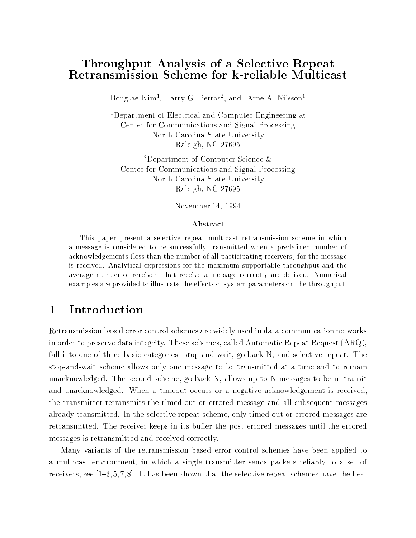# Throughput Analysis of a Selective Repeat

Bongtae Kim1, Harry G. Perros1, and Arne A. Nilsson1

<sup>1</sup>Department of Electrical and Computer Engineering  $\&$ Center for Communications and Signal Processing North Carolina State University Raleigh, NC 27695

2Department of Computer Science & Center for Communications and Signal Processing North Carolina State University Raleigh, NC 27695

November 14, 1994

### Abstract

This paper present a selective repeat multicast retransmission scheme in which a message is considered to be successfully transmitted when a predefined number of acknowledgements (less than the number of all participating receivers) for the message is received. Analytical expressions for the maximum supportable throughput and the average number of receivers that receive a message correctly are derived. Numerical examples are provided to illustrate the effects of system parameters on the throughput.

### Introduction  $\mathbf{1}$

Retransmission based error control schemes are widely used in data communication networks in order to preserve data integrity. These schemes, called Automatic Repeat Request (ARQ), fall into one of three basic categories: stop-and-wait, go-back-N, and selective repeat. The stop-and-wait scheme allows only one message to be transmitted at a time and to remain unacknowledged. The second scheme, go-back-N, allows up to N messages to be in transit and unacknowledged. When a timeout occurs or a negative acknowledgement is received, the transmitter retransmits the timed-out or errored message and all subsequent messages already transmitted. In the selective repeat scheme, only timed-out or errored messages are retransmitted. The receiver keeps in its buffer the post errored messages until the errored messages is retransmitted and received correctly.

Many variants of the retransmission based error control schemes have been applied to a multicast environment, in which a single transmitter sends packets reliably to a set of receivers, see  $\left[1-3, 5, 7, 8\right]$ . It has been shown that the selective repeat schemes have the best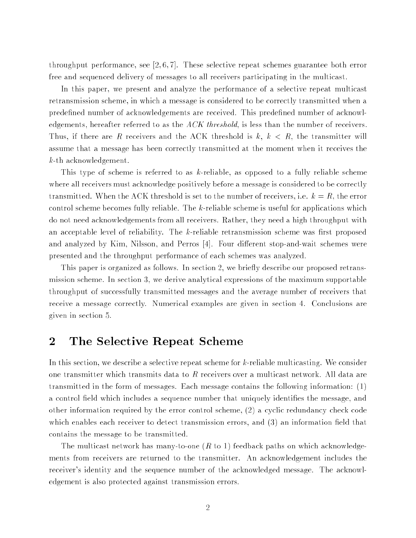throughput performance, see  $[2, 6, 7]$ . These selective repeat schemes guarantee both error free and sequenced delivery of messages to all receivers participating in the multicast.

In this paper, we present and analyze the performance of a selective repeat multicast retransmission scheme, in which a message is considered to be correctly transmitted when a predefined number of acknowledgements are received. This predefined number of acknowledgements, hereafter referred to as the  $ACK$  threshold, is less than the number of receivers. Thus, if there are R receivers and the ACK threshold is  $k, k < R$ , the transmitter will assume that a message has been correctly transmitted at the moment when it receives the k-th acknowledgement.

This type of scheme is referred to as k-reliable, as opposed to a fully reliable scheme where all receivers must acknowledge positively before a message is considered to be correctly transmitted. When the ACK threshold is set to the number of receivers, i.e.  $k = R$ , the error control scheme becomes fully reliable. The k-reliable scheme is useful for applications which do not need acknowledgements from all receivers. Rather, they need a high throughput with an acceptable level of reliability. The  $k$ -reliable retransmission scheme was first proposed and analyzed by Kim, Nilsson, and Perros  $[4]$ . Four different stop-and-wait schemes were presented and the throughput performance of each schemes was analyzed.

This paper is organized as follows. In section 2, we briefly describe our proposed retransmission scheme. In section 3, we derive analytical expressions of the maximum supportable throughput of successfully transmitted messages and the average number of receivers that receive a message correctly. Numerical examples are given in section 4. Conclusions are given in section 5.

#### The Selective Repeat Scheme  $\overline{2}$

In this section, we describe a selective repeat scheme for k-reliable multicasting. We consider one transmitter which transmits data to  $R$  receivers over a multicast network. All data are transmitted in the form of messages. Each message contains the following information: (1) a control field which includes a sequence number that uniquely identifies the message, and other information required by the error control scheme, (2) a cyclic redundancy check code which enables each receiver to detect transmission errors, and  $(3)$  an information field that contains the message to be transmitted.

The multicast network has many-to-one  $(R \text{ to } 1)$  feedback paths on which acknowledgements from receivers are returned to the transmitter. An acknowledgement includes the receiver's identity and the sequence number of the acknowledged message. The acknowledgement is also protected against transmission errors.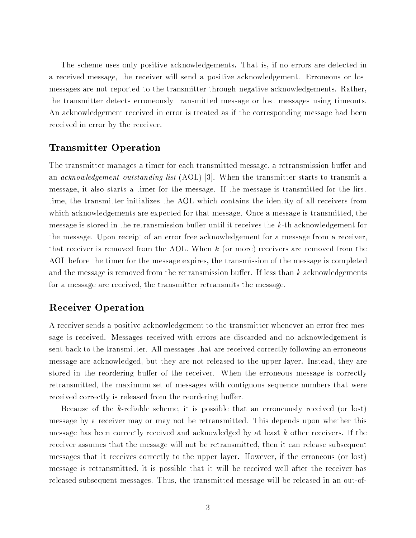The scheme uses only positive acknowledgements. That is, if no errors are detected in a received message, the receiver will send a positive acknowledgement. Erroneous or lost messages are not reported to the transmitter through negative acknowledgements. Rather, the transmitter detects erroneously transmitted message or lost messages using timeouts. An acknowledgement received in error is treated as if the corresponding message had been received in error by the receiver.

### Transmitter Operation

The transmitter manages a timer for each transmitted message, a retransmission buffer and an *acknowledgement outstanding list*  $(AOL)$  [3]. When the transmitter starts to transmit a message, it also starts a timer for the message. If the message is transmitted for the first time, the transmitter initializes the AOL which contains the identity of all receivers from which acknowledgements are expected for that message. Once a message is transmitted, the message is stored in the retransmission buffer until it receives the  $k$ -th acknowledgement for the message. Upon receipt of an error free acknowledgement for a message from a receiver, that receiver is removed from the AOL. When <sup>k</sup> (or more) receivers are removed from the AOL before the timer for the message expires, the transmission of the message is completed and the message is removed from the retransmission buffer. If less than  $k$  acknowledgements for a message are received, the transmitter retransmits the message.

### Receiver Operation

A receiver sends a positive acknowledgement to the transmitter whenever an error free message is received. Messages received with errors are discarded and no acknowledgement is sent back to the transmitter. All messages that are received correctly following an erroneous message are acknowledged, but they are not released to the upper layer. Instead, they are stored in the reordering buffer of the receiver. When the erroneous message is correctly retransmitted, the maximum set of messages with contiguous sequence numbers that were received correctly is released from the reordering buffer.

Because of the k-reliable scheme, it is possible that an erroneously received (or lost) message by a receiver may or may not be retransmitted. This depends upon whether this message has been correctly received and acknowledged by at least <sup>k</sup> other receivers. If the receiver assumes that the message will not be retransmitted, then it can release subsequent messages that it receives correctly to the upper layer. However, if the erroneous (or lost) message is retransmitted, it is possible that it will be received well after the receiver has released subsequent messages. Thus, the transmitted message will be released in an out-of-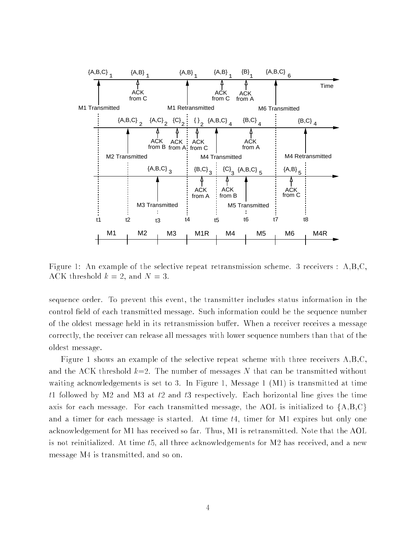

Figure 1: An example of the selective repeat retransmission scheme. 3 receivers : A,B,C, ACK threshold  $k = 2$ , and  $N = 3$ .

sequence order. To prevent this event, the transmitter includes status information in the control field of each transmitted message. Such information could be the sequence number of the oldest message held in its retransmission buffer. When a receiver receives a message correctly, the receiver can release all messages with lower sequence numbers than that of the oldest message.

Figure 1 shows an example of the selective repeat scheme with three receivers A,B,C, and the ACK threshold  $k=2$ . The number of messages N that can be transmitted without waiting acknowledgements is set to 3. In Figure 1, Message 1 (M1) is transmitted at time t1 followed by M2 and M3 at t2 and t3 respectively. Each horizontal line gives the time axis for each message. For each transmitted message, the AOL is initialized to  ${A,B,C}$ and a timer for each message is started. At time  $t_4$ , timer for M1 expires but only one acknowledgement for M1 has received so far. Thus, M1 is retransmitted. Note that the AOL is not reinitialized. At time t5, all three acknowledgements for M2 has received, and a new message M4 is transmitted, and so on.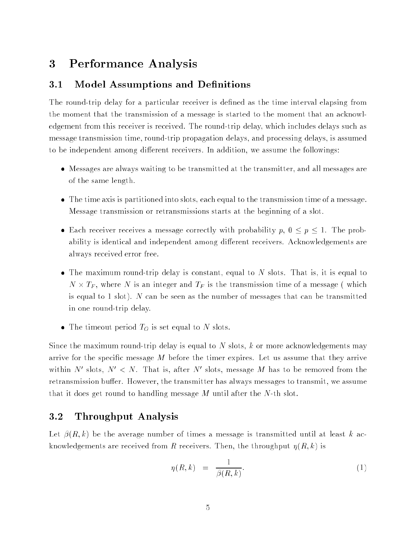### Performance Analysis  $\bf{3}$

### 3.1 Model Assumptions and Definitions

The round-trip delay for a particular receiver is defined as the time interval elapsing from the moment that the transmission of a message is started to the moment that an acknowledgement from this receiver is received. The round-trip delay, which includes delays such as message transmission time, round-trip propagation delays, and processing delays, is assumed to be independent among different receivers. In addition, we assume the followings:

- Messages are always waiting to be transmitted at the transmitter, and all messages are of the same length.
- The time axis is partitioned into slots, each equal to the transmission time of a message. Message transmission or retransmissions starts at the beginning of a slot.
- Each receiver receives a message correctly with probability p, 0 <sup>p</sup> 1. The probability is identical and independent among different receivers. Acknowledgements are always received error free.
- The maximum round-trip delay is constant, equal to <sup>N</sup> slots. That is, it is equal to  $\mathbf{r}$  , where  $\mathbf{r}$  is an integer and  $\mathbf{r}$  is the transmission time of a message ( which is equal to 1 slot). <sup>N</sup> can be seen as the number of messages that can be transmitted in one round-trip delay.
- The time time out period TO is set equal to A slots.

Since the maximum round-trip delay is equal to  $N$  slots,  $k$  or more acknowledgements may arrive for the specific message  $M$  before the timer expires. Let us assume that they arrive within  $N$  slots,  $N < N$ . That is, after  $N$  slots, message  $M$  has to be removed from the retransmission buffer. However, the transmitter has always messages to transmit, we assume that it does get round to handling message  $M$  until after the  $N$ -th slot.

#### $3.2$ 3.2 Throughput Analysis

Let  $\beta(R, k)$  be the average number of times a message is transmitted until at least k acknowledgements are received from R receivers. Then, the throughput  $\eta(R, k)$  is

$$
\eta(R,k) = \frac{1}{\beta(R,k)}.\tag{1}
$$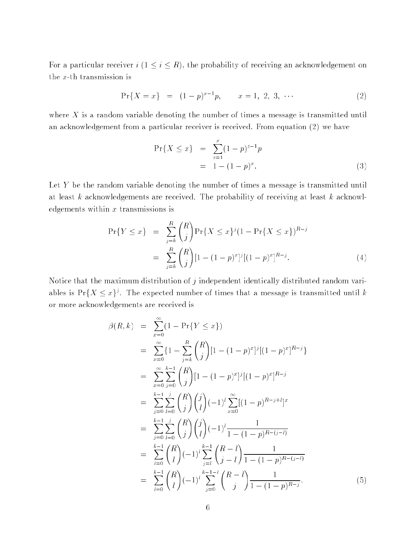For a particular receiver  $i$   $(1 \leq i \leq R)$ , the probability of receiving an acknowledgement on the x-th transmission is

$$
\Pr\{X = x\} = (1 - p)^{x - 1}p, \qquad x = 1, 2, 3, \cdots \tag{2}
$$

where  $X$  is a random variable denoting the number of times a message is transmitted until an acknowledgement from a particular receiver is received. From equation (2) we have

$$
\Pr\{X \le x\} = \sum_{z=1}^{x} (1-p)^{z-1} p
$$
  
= 1 - (1-p)<sup>x</sup>. (3)

Let <sup>Y</sup> be the random variable denoting the number of times a message is transmitted until at least  $k$  acknowledgements are received. The probability of receiving at least  $k$  acknowledgements within  $x$  transmissions is

$$
\Pr\{Y \le x\} = \sum_{j=k}^{R} {R \choose j} \Pr\{X \le x\}^{j} (1 - \Pr\{X \le x\})^{R-j}
$$

$$
= \sum_{j=k}^{R} {R \choose j} [1 - (1-p)^{x}]^{j} [(1-p)^{x}]^{R-j}.
$$
(4)

Notice that the maximum distribution of  $j$  independent identically distributed random variables is Pr{ $\Lambda \leq x$ }'. The expected number of times that a message is transmitted until  $k$ or more acknowledgements are received is

$$
\beta(R,k) = \sum_{x=0}^{\infty} (1 - \Pr\{Y \le x\})
$$
  
\n
$$
= \sum_{x=0}^{\infty} \{1 - \sum_{j=k}^{R} {R \choose j} [1 - (1-p)^{x}]^{j} [(1-p)^{x}]^{R-j} \}
$$
  
\n
$$
= \sum_{x=0}^{\infty} \sum_{j=0}^{k-1} {R \choose j} [1 - (1-p)^{x}]^{j} [(1-p)^{x}]^{R-j}
$$
  
\n
$$
= \sum_{j=0}^{k-1} \sum_{l=0}^{j} {R \choose j} {j \choose l} (-1)^{l} \sum_{x=0}^{\infty} [(1-p)^{R-j+l}]^{x}
$$
  
\n
$$
= \sum_{j=0}^{k-1} \sum_{l=0}^{j} {R \choose j} {j \choose l} (-1)^{l} \frac{1}{1 - (1-p)^{R-(j-l)}}
$$
  
\n
$$
= \sum_{l=0}^{k-1} {R \choose l} (-1)^{l} \sum_{j=l}^{k-1} {R-l \choose j-l} \frac{1}{1 - (1-p)^{R-(j-l)}}
$$
  
\n
$$
= \sum_{l=0}^{k-1} {R \choose l} (-1)^{l} \sum_{j=0}^{k-1-l} {R-l \choose j} \frac{1}{1 - (1-p)^{R-j}}.
$$
  
\n(5)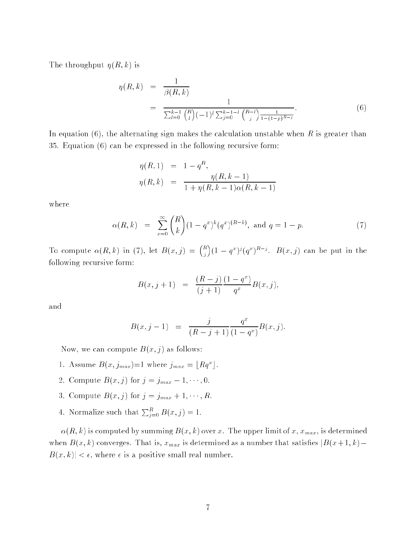The throughput  $\eta(R, k)$  is

$$
\eta(R,k) = \frac{1}{\beta(R,k)}
$$
  
= 
$$
\frac{1}{\sum_{l=0}^{k-1} {R \choose l} (-1)^l \sum_{j=0}^{k-1-l} {R-l \choose j} \frac{1}{1-(1-p)^{R-j}}}.
$$
 (6)

In equation  $(6)$ , the alternating sign makes the calculation unstable when R is greater than 35. Equation (6) can be expressed in the following recursive form:

$$
\eta(R,1) = 1 - q^R,
$$
  

$$
\eta(R,k) = \frac{\eta(R,k-1)}{1 + \eta(R,k-1)\alpha(R,k-1)}
$$

where

$$
\alpha(R,k) = \sum_{x=0}^{\infty} {R \choose k} (1-q^x)^k (q^x)^{(R-k)}, \text{ and } q = 1-p.
$$
 (7)

To compute (R; k) in (7), let B(x; j) = <sup>R</sup> <sup>j</sup>  $\sim$  $(1 - q^2)^s (q^2)^{s-s}$ .  $D(x, \mathcal{I})$  can be put in the following recursive form:

$$
B(x, j+1) = \frac{(R-j)}{(j+1)} \frac{(1-q^x)}{q^x} B(x, j),
$$

and

$$
B(x, j-1) = \frac{j}{(R-j+1)} \frac{q^x}{(1-q^x)} B(x, j).
$$

Now, we can compute  $B(x, j)$  as follows:

- 1. Assume  $B(x, j_{max})=1$  where  $j_{max} = |Rq^{-}|$ .
- 2. Compute  $B(x, j)$  for  $j = j_{max} 1, \dots, 0$ .
- 3. Compute  $B(x, j)$  for  $j = j_{max} + 1, \dots, R$ .
- 4. Normalize such that  $\sum_{i=0}^{R} B(x, j) = 1$ .

 $\alpha(R, k)$  is computed by summing  $B(x, k)$  over x. The upper limit of x,  $x_{max}$ , is determined when  $B(x, k)$  converges. That is,  $x_{max}$  is determined as a number that satisfies  $|B(x+1, k) B(x, k) < \epsilon$ , where  $\epsilon$  is a positive small real number.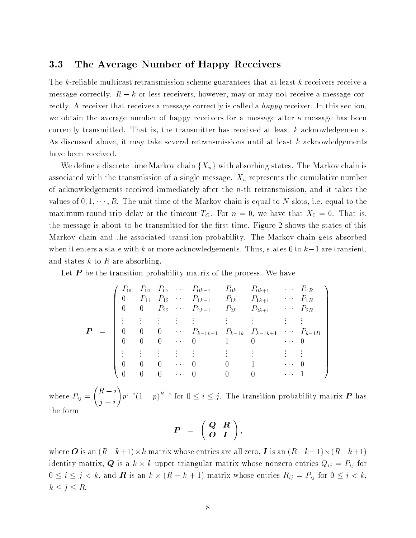#### $3.3$ 3.3 The Average Number of Happy Receivers

The k-reliable multicast retransmission scheme guarantees that at least <sup>k</sup> receivers receive a message correctly.  $R - k$  or less receivers, however, may or may not receive a message correctly. A receiver that receives a message correctly is called a happy receiver. In this section, we obtain the average number of happy receivers for a message after a message has been correctly transmitted. That is, the transmitter has received at least <sup>k</sup> acknowledgements. As discussed above, it may take several retransmissions until at least k acknowledgements have been received.

We define a discrete time Markov chain  $\{X_n\}$  with absorbing states. The Markov chain is associated with the transmission of a single message.  $X_n$  represents the cumulative number of acknowledgements received immediately after the n-th retransmission, and it takes the values of  $0, 1, \dots, R$ . The unit time of the Markov chain is equal to N slots, i.e. equal to the maximum round-trip delay or the timeout  $T<sub>O</sub>$ . For  $n = 0$ , we have that  $X<sub>0</sub> = 0$ . That is, the message is about to be transmitted for the first time. Figure 2 shows the states of this Markov chain and the associated transition probability. The Markov chain gets absorbed when it enters a state with k or more acknowledgements. Thus, states 0 to  $k-1$  are transient, and states  $k$  to  $R$  are absorbing.

Let  $P$  be the transition probability matrix of the process. We have

$$
\boldsymbol{P} = \begin{pmatrix} P_{00} & P_{01} & P_{02} & \cdots & P_{0k-1} & P_{0k} & P_{0k+1} & \cdots & P_{0R} \\ 0 & P_{11} & P_{12} & \cdots & P_{1k-1} & P_{1k} & P_{1k+1} & \cdots & P_{1R} \\ 0 & 0 & P_{22} & \cdots & P_{2k-1} & P_{2k} & P_{2k+1} & \cdots & P_{2R} \\ \vdots & \vdots & \vdots & \vdots & \vdots & \vdots & \vdots & \vdots \\ 0 & 0 & 0 & \cdots & P_{k-1k-1} & P_{k-1k} & P_{k-1k+1} & \cdots & P_{k-1R} \\ 0 & 0 & 0 & \cdots & 0 & 1 & 0 & \cdots & 0 \\ \vdots & \vdots & \vdots & \vdots & \vdots & \vdots & \vdots & \vdots \\ 0 & 0 & 0 & \cdots & 0 & 0 & 1 & \cdots & 0 \\ 0 & 0 & 0 & \cdots & 0 & 0 & 0 & \cdots & 1 \end{pmatrix}
$$

 $\cdots$   $\cdots$   $\cdots$   $\cdots$   $\cdots$   $\cdots$   $\cdots$   $\cdots$  $\overline{\phantom{a}}$ <sup>j</sup> <sup>i</sup> !  $p^s$  (1  $-p$ ) for  $0 \leq i \leq j$ . The transition probability matrix  $P$  has the form

$$
P = \left(\begin{array}{cc} Q & R \\ O & I \end{array}\right)
$$

where <sup>O</sup> is an (Rk+1)-<sup>k</sup> matrix whose entries are all zero, <sup>I</sup> is an (Rk+1)-(Rk+1) identity matrix, <sup>Q</sup> is a <sup>k</sup> - <sup>k</sup> upper triangular matrix whose nonzero entries Qij <sup>=</sup> Pij for  $\alpha \equiv 1$  , and the state  $\alpha \equiv 1$  , and  $\alpha \equiv 1$  , and  $\alpha \equiv 1$  , and  $\alpha \equiv 1$  , and  $\alpha \equiv 1$  $k \leq j \leq R$ .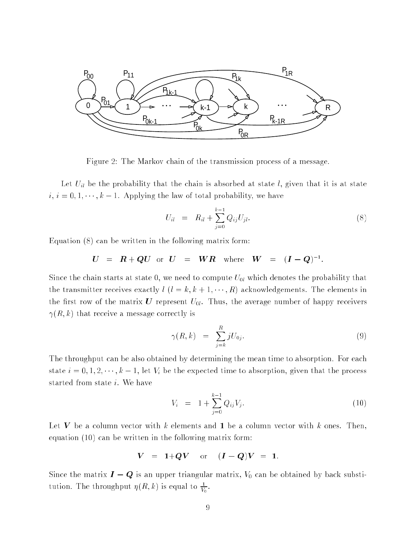

Figure 2: The Markov chain of the transmission process of a message.

Let  $U_{il}$  be the probability that the chain is absorbed at state l, given that it is at state  $i, i = 0, 1, \dots, k - 1$ . Applying the law of total probability, we have

$$
U_{il} = R_{il} + \sum_{j=0}^{k-1} Q_{ij} U_{jl}.
$$
 (8)

Equation (8) can be written in the following matrix form:

$$
U = R + QU
$$
 or  $U = WR$  where  $W = (I - Q)^{-1}$ .

Since the chain starts at state 0, we need to compute  $U_{0l}$  which denotes the probability that the transmitter receives exactly  $l$   $(l = k, k + 1, \dots, R)$  acknowledgements. The elements in the first row of the matrix U represent  $U_{0l}$ . Thus, the average number of happy receivers  $\gamma(R, k)$  that receive a message correctly is

$$
\gamma(R,k) = \sum_{j=k}^{R} jU_{0j}.\tag{9}
$$

The throughput can be also obtained by determining the mean time to absorption. For each state  $i = 0, 1, 2, \dots, k - 1$ , let  $V_i$  be the expected time to absorption, given that the process started from state i. We have

$$
V_i = 1 + \sum_{j=0}^{k-1} Q_{ij} V_j.
$$
 (10)

Let V be a column vector with k elements and 1 be a column vector with k ones. Then, equation (10) can be written in the following matrix form:

$$
V = 1+QV
$$
 or  $(I - Q)V = 1$ .

Since the matrix  $I - Q$  is an upper triangular matrix,  $V_0$  can be obtained by back substitution. The throughput  $\eta(R, k)$  is equal to  $\frac{1}{V_0}$ .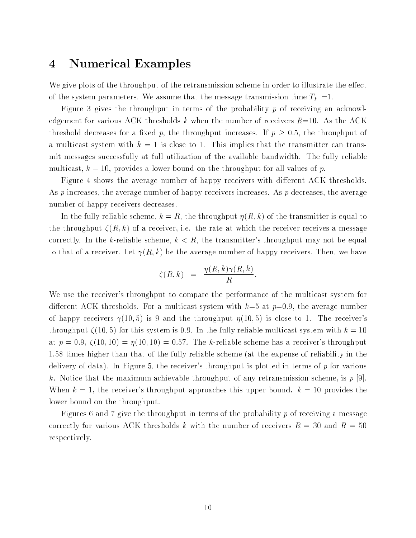#### Numerical Examples  $\overline{\mathbf{4}}$

We give plots of the throughput of the retransmission scheme in order to illustrate the effect of the system parameters. We assume that the message transmission time  $T_F = 1$ .

Figure 3 gives the throughput in terms of the probability  $p$  of receiving an acknowledgement for various ACK thresholds k when the number of receivers  $R=10$ . As the ACK threshold decreases for a fixed p, the throughput increases. If  $p \geq 0.5$ , the throughput of a multicast system with  $k = 1$  is close to 1. This implies that the transmitter can transmit messages successfully at full utilization of the available bandwidth. The fully reliable multicast,  $k = 10$ , provides a lower bound on the throughput for all values of p.

Figure 4 shows the average number of happy receivers with different ACK thresholds. As  $p$  increases, the average number of happy receivers increases. As  $p$  decreases, the average number of happy receivers decreases.

In the fully reliable scheme,  $k = R$ , the throughput  $\eta(R, k)$  of the transmitter is equal to the throughput  $\zeta(R, k)$  of a receiver, i.e. the rate at which the receiver receives a message correctly. In the k-reliable scheme,  $k < R$ , the transmitter's throughput may not be equal to that of a receiver. Let  $\gamma(R, k)$  be the average number of happy receivers. Then, we have

$$
\zeta(R,k) = \frac{\eta(R,k)\gamma(R,k)}{R}.
$$

We use the receiver's throughput to compare the performance of the multicast system for different ACK thresholds. For a multicast system with  $k=5$  at  $p=0.9$ , the average number of happy receivers  $\gamma(10,5)$  is 9 and the throughput  $\eta(10,5)$  is close to 1. The receiver's throughput  $\zeta(10,5)$  for this system is 0.9. In the fully reliable multicast system with  $k = 10$ at  $p = 0.9$ ,  $\zeta(10, 10) = \eta(10, 10) = 0.57$ . The k-reliable scheme has a receiver's throughput 1.58 times higher than that of the fully reliable scheme (at the expense of reliability in the delivery of data). In Figure 5, the receiver's throughput is plotted in terms of  $p$  for various k. Notice that the maximum achievable throughput of any retransmission scheme, is  $p$  [9]. When  $k = 1$ , the receiver's throughput approaches this upper bound.  $k = 10$  provides the lower bound on the throughput.

Figures 6 and 7 give the throughput in terms of the probability  $p$  of receiving a message correctly for various ACK thresholds k with the number of receivers  $R = 30$  and  $R = 50$ respectively.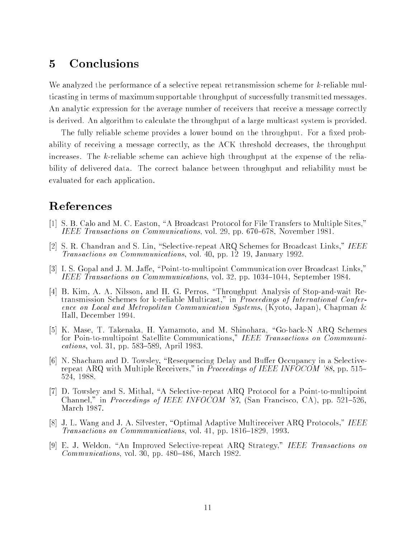### Conclusions  $\overline{5}$

We analyzed the performance of a selective repeat retransmission scheme for k-reliable multicasting in terms of maximum supportable throughput of successfully transmitted messages. An analytic expression for the average number of receivers that receive a message correctly is derived. An algorithm to calculate the throughput of a large multicast system is provided.

The fully reliable scheme provides a lower bound on the throughput. For a fixed probability of receiving a message correctly, as the ACK threshold decreases, the throughput increases. The k-reliable scheme can achieve high throughput at the expense of the reliability of delivered data. The correct balance between throughput and reliability must be evaluated for each application.

## References

- [1] S. B. Calo and M. C. Easton, "A Broadcast Protocol for File Transfers to Multiple Sites," IEEE Transactions on Communications, vol. 29, pp. 670–678, November 1981.
- [2] S. R. Chandran and S. Lin, "Selective-repeat ARQ Schemes for Broadcast Links," IEEE Transactions on Commmunications, vol. 40, pp. 12–19, January 1992.
- [3] I. S. Gopal and J. M. Jaffe, "Point-to-multipoint Communication over Broadcast Links," IEEE Transactions on Commmunications, vol. 32, pp. 1034-1044, September 1984.
- [4] B. Kim, A. A. Nilsson, and H. G. Perros, \Throughput Analysis of Stop-and-wait Retransmission Schemes for k-reliable Multicast," in Proceedings of International Conference on Local and Metropolitan Communication Systems, (Kyoto, Japan), Chapman & Hall, December 1994.
- [5] K. Mase, T. Takenaka, H. Yamamoto, and M. Shinohara, "Go-back-N ARQ Schemes for Poin-to-multipoint Satellite Communications," IEEE Transactions on Commmunications, vol. 31, pp.  $583{-}589$ , April 1983.
- $[6]$  N. Shacham and D. Towsley, "Resequencing Delay and Buffer Occupancy in a Selectiverepeat ARQ with Multiple Receivers," in *Proceedings of IEEE INFOCOM '88*, pp. 515– 524, 1988.
- [7] D. Towsley and S. Mithal, \A Selective-repeat ARQ Protocol for a Point-to-multipoint Channel," in Proceedings of IEEE INFOCOM '87, (San Francisco, CA), pp. 521-526, March 1987.
- [8] J. L. Wang and J. A. Silvester, "Optimal Adaptive Multireceiver ARQ Protocols," IEEE Transactions on Commmunications, vol. 41, pp. 1816-1829, 1993.
- [9] E. J. Weldon, "An Improved Selective-repeat ARQ Strategy," IEEE Transactions on  $Communications, vol. 30, pp. 480–486, March 1982.$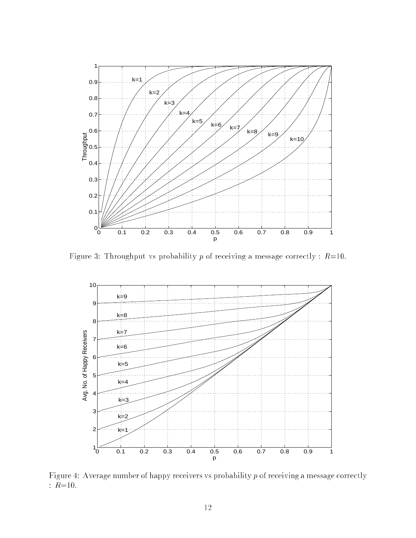

Figure 3: Throughput vs probability p of receiving a message correctly :  $R=10$ .



Figure 4: Average number of happy receivers vs probability  $p$  of receiving a message correctly :  $R=10$ .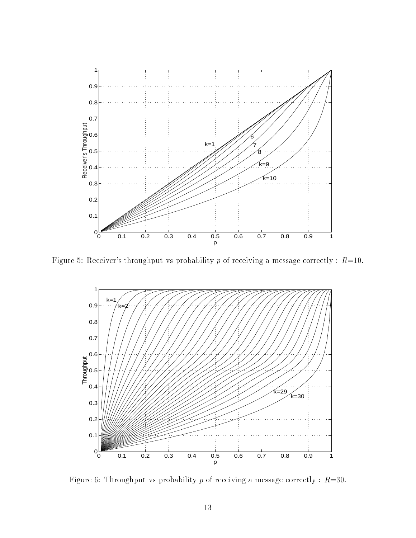

Figure 5: Receiver's throughput vs probability p of receiving a message correctly :  $R=10$ .



Figure 6: Throughput vs probability p of receiving a message correctly :  $R=30$ .